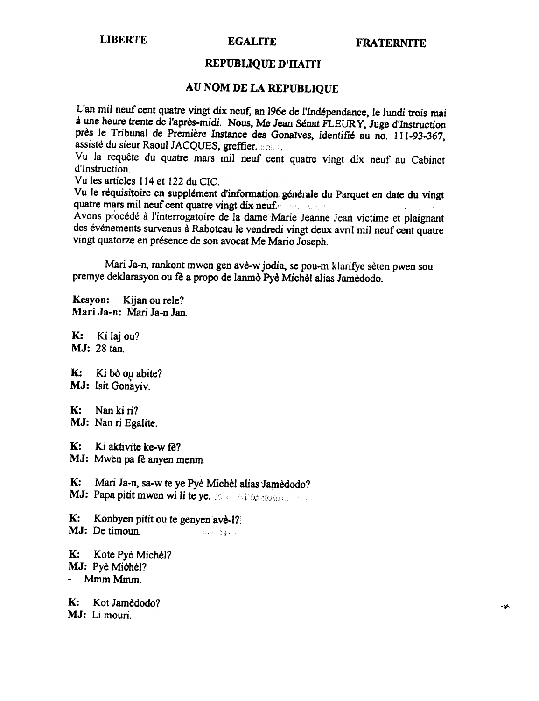#### **LIBERTE**

#### **EGALITE**

#### REPUBLIQUE D'HAITI

### AU NOM DE LA REPUBLIQUE

L'an mil neuf cent quatre vingt dix neuf, an 196e de l'Indépendance, le lundi trois mai à une heure trente de l'après-midi. Nous, Me Jean Sénat FLEURY, Juge d'Instruction près le Tribunal de Première Instance des Gonaïves, identifié au no. 111-93-367, assisté du sieur Raoul JACQUES, greffier. Sans in

Vu la requête du quatre mars mil neuf cent quatre vingt dix neuf au Cabinet d'Instruction.

Vu les articles 114 et 122 du CIC.

Vu le réquisitoire en supplément d'information générale du Parquet en date du vingt quatre mars mil neuf cent quatre vingt dix neuf. Avons procédé à l'interrogatoire de la dame Marie Jeanne Jean victime et plaignant des événements survenus à Raboteau le vendredi vingt deux avril mil neuf cent quatre vingt quatorze en présence de son avocat Me Mario Joseph.

Mari Ja-n, rankont mwen gen avè-w jodia, se pou-m klarifye sèten pwen sou premye deklarasyon ou fè a propo de lanmò Pyè Michèl alias Jamèdodo.

Kesvon: Kijan ou rele? Mari Ja-n: Mari Ja-n Jan

**K:** Ki laj ou? MJ: 28 tan.

 $\mathbf{K}$ : Ki bò oµ abite? MJ: Isit Gonaviv.

 $\mathbf{K}$ : Nan ki ri? MJ: Nan ri Egalite.

К: Ki aktivite ke-w fe?

MJ: Mwen pa fè anyen menm.

 $\mathbf{K}$ : Mari Ja-n, sa-w te ye Pyè Michèl alias Jamèdodo? MJ: Papa pitit mwen wi li te ye. 363 64 to nomen and

K: Konbyen pitit ou te genyen ave-1? MJ: De timoun ن فهرون الأمريكي.<br>منابع

 $\mathbf{K}$ : Kote Pyè Michèl? MJ: Pyè Michèl? - Mmm Mmm.

 $K:$ Kot Jamèdodo? MJ: Li mouri.

بكويت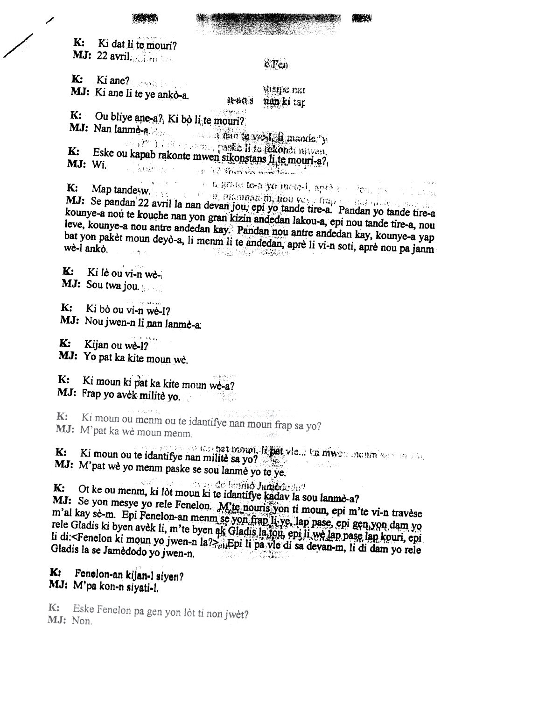

Ki dat li te mouri?  $\mathbf{K}$ : **MJ:** 22 avril.  $\mathbb{R}$ 

K:

 $c$   $T$  $c$ n

Ki ane? Constitution MJ: Ki ane li te ye ankò-a. **WEIDE BEL** nan ki tap 11-110.9 وي دي شرح (1945)<br>مراجع

Ou bliye ane-a? Ki bo li te mouri?  $\mathbf{K}$ :

MJ: Nan lanme-a a nan te ye Li mande. y  $\mathbb{P}^{n+1}$  ,  $\mathbb{P}^{n+1}$  and  $\mathbb{P}^{n+1}$  is the mixed. Eske ou kapab rakonte mwen sikonstans li te mouri-a?, K: MJ: Wi. **Chairman CONTRACTORS SAN ARTISTS CONTRACTORS** 

o u neganse te-a yo ineto-i, aprò e colonicio K: Map tandesw.<br>MJ: Se pandan 22 avril la nan devan jou, epi yo tande tire-a. Pandan yo tande tire-a kounye-a nou te kouche nan yon gran kizin andedan lakou-a, epi nou tande tire-a, nou leve, kounye-a nou antre andedan kay. Pandan nou antre andedan kay, kounye-a yap bat yon pakèt moun deyò-a, li menm li te andedan, aprè li vi-n soti, aprè nou pa janm 

K: Ki lè ou vi-n wè-

- MJ: Sou twa jou.
- $\mathbf{K}$ : Ki bò ou vi-n wè-1?
- MJ: Nou jwen-n li nan lanme-a:

 $K:$ Kijan ou wè-1?

MJ: Yo pat ka kite moun wè.

Ki moun ki pat ka kite moun we-a? K:

MJ: Frap yo avek milite yo.

Ki moun ou menm ou te idantifye nan moun frap sa yo? K: MJ: M'pat ka wè moun menm.

e pagal sa kap**pet maun, it pat vie... ka niwe**n month sa win add Ki moun ou te idantifye nan militê sa yo?  $K:$ 

MJ: M'pat wè yo menm paske se sou lanmè yo te ye.

 $\mathbf{cl}(\widehat{C}^{\text{in}})$  ,  $\mathbf{c}^{\text{in}}$ ations de lamino Jumbando? К:

Ot ke ou menm, ki lòt moun ki te idantifye kadav la sou lanmè-a?

MJ: Se yon mesye yo rele Fenelon. M'te nouris yon ti moun, epi m'te vi-n travese m'al kay se-m. Epi Fenelon-an menm se yon fran li ye, lap pase, epi gen, yon dam yo rele Gladis ki byen avèk li, m'te byen ak Gladis la fou, epi li wè lap pase lap kouri, epi li di:<Fenelon ki moun yo jwen-n la? Epi li pa vie di sa devan-m, li di dam yo rele Gladis la se Jamèdodo yo jwen-n. 

#### Fenelon-an kijan-l siyen? K: MJ: M'pa kon-n siyati-l.

Eske Fenelon pa gen yon lòt ti non jwèt?  $K:$ MJ: Non.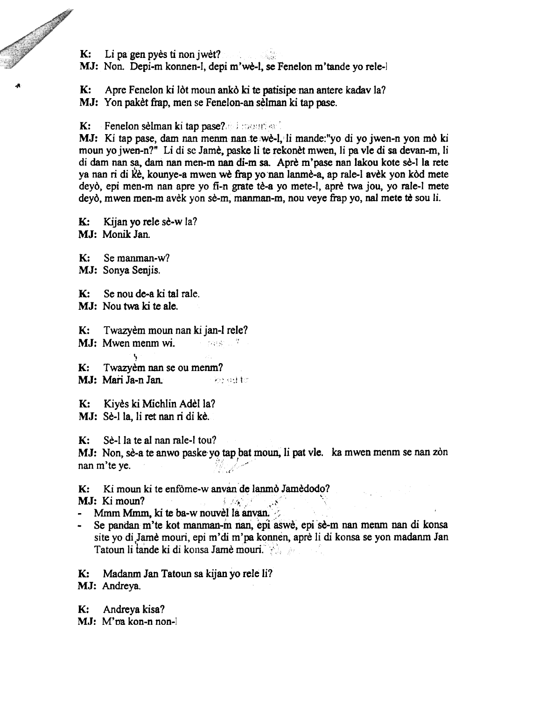K: Li pa gen pyes ti non jwet?

Contractor of the Contractor

MJ: Non. Depi-m konnen-l, depi m'we-l, se Fenelon m'tande yo rele-l

K: Apre Fenelon ki lot moun anko ki te patisipe nan antere kadav la?

MJ: Yon paket frap, men se Fenelon-an selman ki tap pase.

 $K:$  Fenelon selman ki tap pase? $\mathbb{R}$  ;  $\mathbb{R}$ *III* 

MJ: Ki tap pase, dam nan menm nan te wè-l, li mande:"yo di yo jwen-n yon mò ki moun yo jwen-n?" Li di se Jame, paske Ii te rekonet mwen, Ii pa vIe di sa devan-m, Ii di dam nan sa, dam nan men-m nan di-m sa. Apre m'pase nan lakou kote se-I la rete ya nan ri di ke, kounye-a mwen we frap yo nan lanme-a, ap rale-l avek yon kod mete deyò, epi men-m nan apre yo fi-n grate tè-a yo mete-l, aprè twa jou, yo rale-l mete deyò, mwen men-m avèk yon sè-m, manman-m, nou veye frap yo, nal mete tè sou li.

 $K:$  Kijan yo rele sè-w la? M.I: Monik Jan.

K: Se manman-w? MJ: Sonya Senjis.

K: Se nou de-a ki tal rale.

MJ: Nou twa ki te ale.

K: Twazyem moun nan ki jan-l rele?

MJ: Mwen menm wi.  $\blacksquare$ 

I, K: Twazyem nan se ou menm?

K: Kiyès ki Michlin Adèl la?

MJ: Sè-l la, li ret nan ri di kè.

 $K:$  Sè-l la te al nan rale-l tou?

MJ: Non, sè-a te anwo paske yo tap bat moun, li pat vie.<br>nan m'te ve.  $\mathcal{C}$  ,  $\mathcal{C}$ ka mwen menm se nan zòn

K: Ki moun ki te enfome-w anvan de lanmo Jamedodo?

MJ: Ki moun?  $\blacksquare$ 

 $\textbf{I} \cdot \textbf{I}$ : Ki moun?<br>Mmm Mmm, ki te ba-w nouvel la anvan.

Se pandan m'te kot manman-m nan, epi aswe, epi se-m nan menm nan di konsa site yo di Jame mouri, epi m'di m'pa konnen, apre li di konsa se yon madanm Jan Tatoun li tande ki di konsa Jame mouri.

K: Madanm Ian Tatoun sa kijan yo rele Ii? MJ: Andreya.

K: Andreya kisa? MJ: M'oa kon-n non-l

MJ: Mari Ja-n Jan. Note that the bound of the Mari Jan.